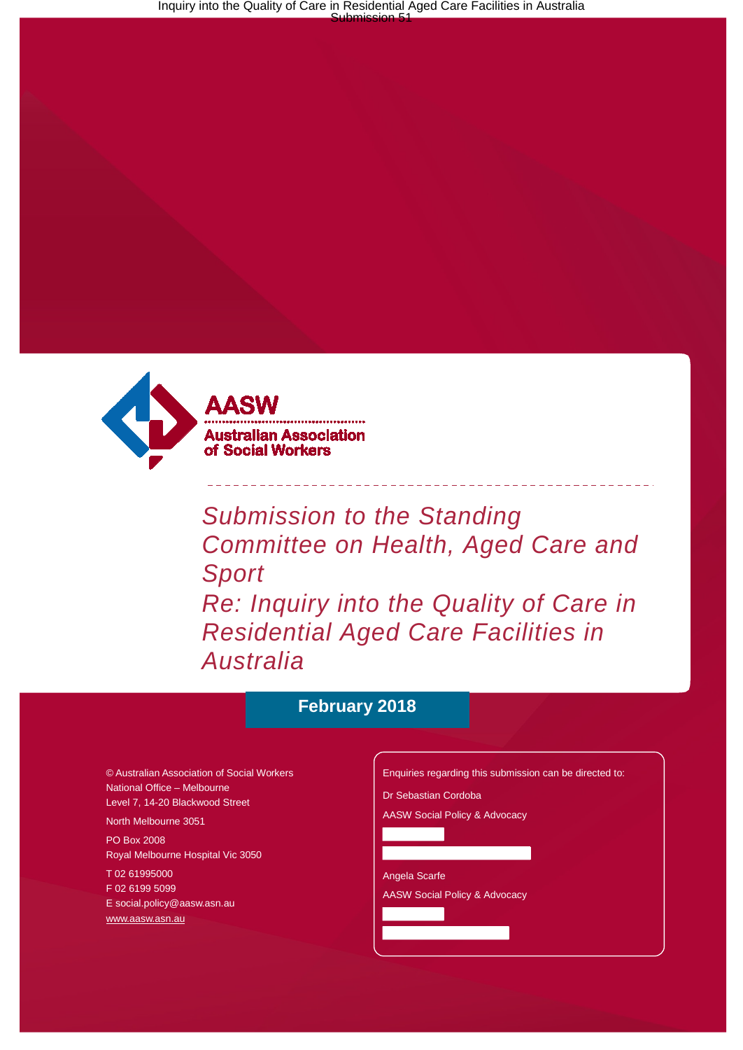

*Submission to the Standing Committee on Health, Aged Care and Sport Re: Inquiry into the Quality of Care in Residential Aged Care Facilities in Australia*

### **February 2018**

© Australian Association of Social Workers National Office – Melbourne Level 7, 14-20 Blackwood Street

North Melbourne 3051

PO Box 2008 Royal Melbourne Hospital Vic 3050

T 02 61995000

F 02 6199 5099

[E social.policy@aasw.asn.au](mailto:advocacy@aasw.asn.au) [www.aasw.asn.au](http://www.aasw.asn.au/)

Enquiries regarding this submission can be directed to: Dr Sebastian Cordoba AASW Social Policy & Advocacy Angela Scarfe AASW Social Policy & Advocacy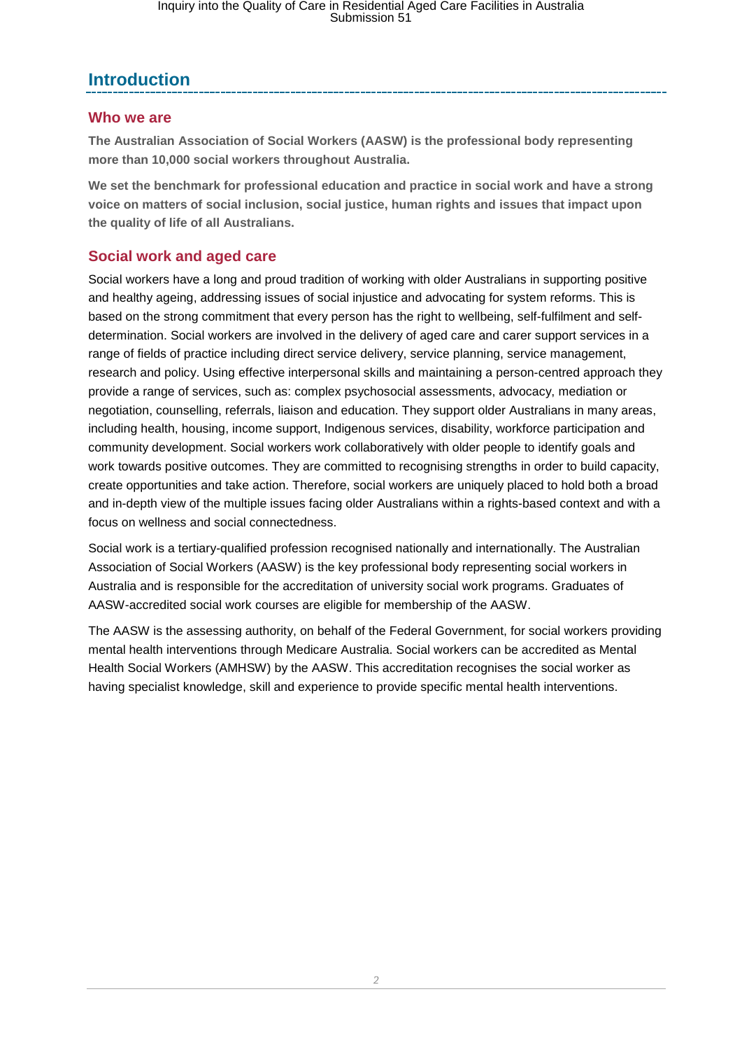## **Introduction**

#### **Who we are**

**The Australian Association of Social Workers (AASW) is the professional body representing more than 10,000 social workers throughout Australia.** 

**We set the benchmark for professional education and practice in social work and have a strong voice on matters of social inclusion, social justice, human rights and issues that impact upon the quality of life of all Australians.**

#### **Social work and aged care**

Social workers have a long and proud tradition of working with older Australians in supporting positive and healthy ageing, addressing issues of social injustice and advocating for system reforms. This is based on the strong commitment that every person has the right to wellbeing, self-fulfilment and selfdetermination. Social workers are involved in the delivery of aged care and carer support services in a range of fields of practice including direct service delivery, service planning, service management, research and policy. Using effective interpersonal skills and maintaining a person-centred approach they provide a range of services, such as: complex psychosocial assessments, advocacy, mediation or negotiation, counselling, referrals, liaison and education. They support older Australians in many areas, including health, housing, income support, Indigenous services, disability, workforce participation and community development. Social workers work collaboratively with older people to identify goals and work towards positive outcomes. They are committed to recognising strengths in order to build capacity, create opportunities and take action. Therefore, social workers are uniquely placed to hold both a broad and in-depth view of the multiple issues facing older Australians within a rights-based context and with a focus on wellness and social connectedness.

Social work is a tertiary-qualified profession recognised nationally and internationally. The Australian Association of Social Workers (AASW) is the key professional body representing social workers in Australia and is responsible for the accreditation of university social work programs. Graduates of AASW-accredited social work courses are eligible for membership of the AASW.

The AASW is the assessing authority, on behalf of the Federal Government, for social workers providing mental health interventions through Medicare Australia. Social workers can be accredited as Mental Health Social Workers (AMHSW) by the AASW. This accreditation recognises the social worker as having specialist knowledge, skill and experience to provide specific mental health interventions.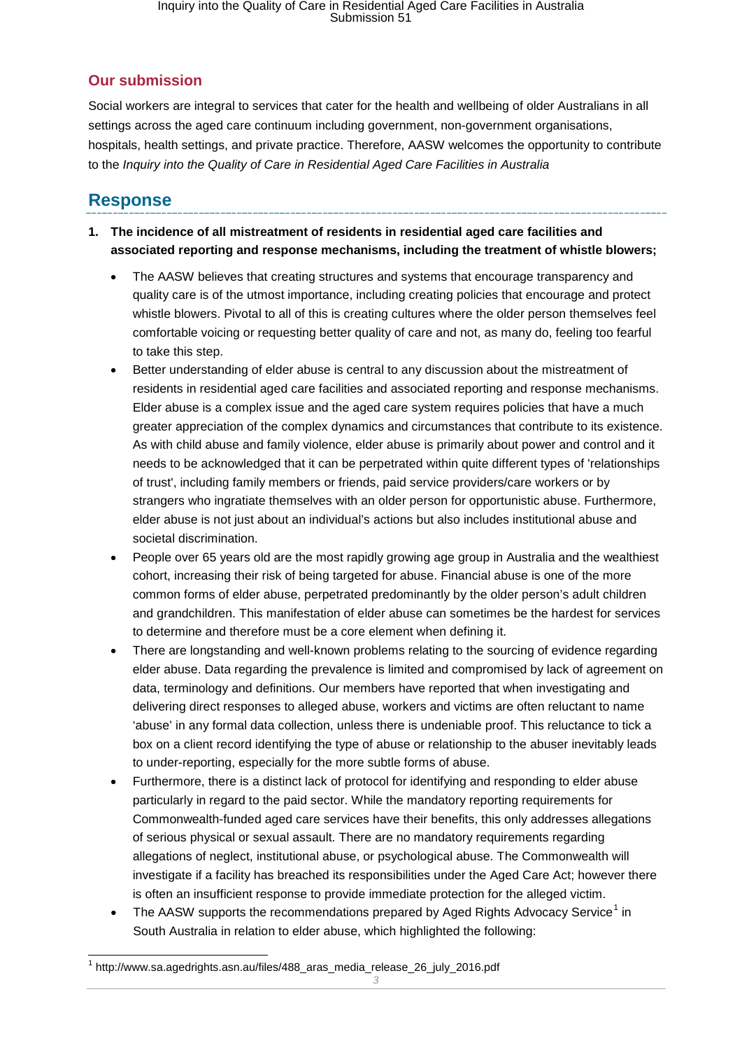#### **Our submission**

Social workers are integral to services that cater for the health and wellbeing of older Australians in all settings across the aged care continuum including government, non-government organisations, hospitals, health settings, and private practice. Therefore, AASW welcomes the opportunity to contribute to the *Inquiry into the Quality of Care in Residential Aged Care Facilities in Australia*

## **Response**

- **1. The incidence of all mistreatment of residents in residential aged care facilities and associated reporting and response mechanisms, including the treatment of whistle blowers;**
	- The AASW believes that creating structures and systems that encourage transparency and quality care is of the utmost importance, including creating policies that encourage and protect whistle blowers. Pivotal to all of this is creating cultures where the older person themselves feel comfortable voicing or requesting better quality of care and not, as many do, feeling too fearful to take this step.
	- Better understanding of elder abuse is central to any discussion about the mistreatment of residents in residential aged care facilities and associated reporting and response mechanisms. Elder abuse is a complex issue and the aged care system requires policies that have a much greater appreciation of the complex dynamics and circumstances that contribute to its existence. As with child abuse and family violence, elder abuse is primarily about power and control and it needs to be acknowledged that it can be perpetrated within quite different types of 'relationships of trust', including family members or friends, paid service providers/care workers or by strangers who ingratiate themselves with an older person for opportunistic abuse. Furthermore, elder abuse is not just about an individual's actions but also includes institutional abuse and societal discrimination.
	- People over 65 years old are the most rapidly growing age group in Australia and the wealthiest cohort, increasing their risk of being targeted for abuse. Financial abuse is one of the more common forms of elder abuse, perpetrated predominantly by the older person's adult children and grandchildren. This manifestation of elder abuse can sometimes be the hardest for services to determine and therefore must be a core element when defining it.
	- There are longstanding and well-known problems relating to the sourcing of evidence regarding elder abuse. Data regarding the prevalence is limited and compromised by lack of agreement on data, terminology and definitions. Our members have reported that when investigating and delivering direct responses to alleged abuse, workers and victims are often reluctant to name 'abuse' in any formal data collection, unless there is undeniable proof. This reluctance to tick a box on a client record identifying the type of abuse or relationship to the abuser inevitably leads to under-reporting, especially for the more subtle forms of abuse.
	- Furthermore, there is a distinct lack of protocol for identifying and responding to elder abuse particularly in regard to the paid sector. While the mandatory reporting requirements for Commonwealth-funded aged care services have their benefits, this only addresses allegations of serious physical or sexual assault. There are no mandatory requirements regarding allegations of neglect, institutional abuse, or psychological abuse. The Commonwealth will investigate if a facility has breached its responsibilities under the Aged Care Act; however there is often an insufficient response to provide immediate protection for the alleged victim.
	- The AASW supports the recommendations prepared by Aged Rights Advocacy Service<sup>[1](#page-2-0)</sup> in South Australia in relation to elder abuse, which highlighted the following:

<span id="page-2-0"></span> <sup>1</sup> http://www.sa.agedrights.asn.au/files/488\_aras\_media\_release\_26\_july\_2016.pdf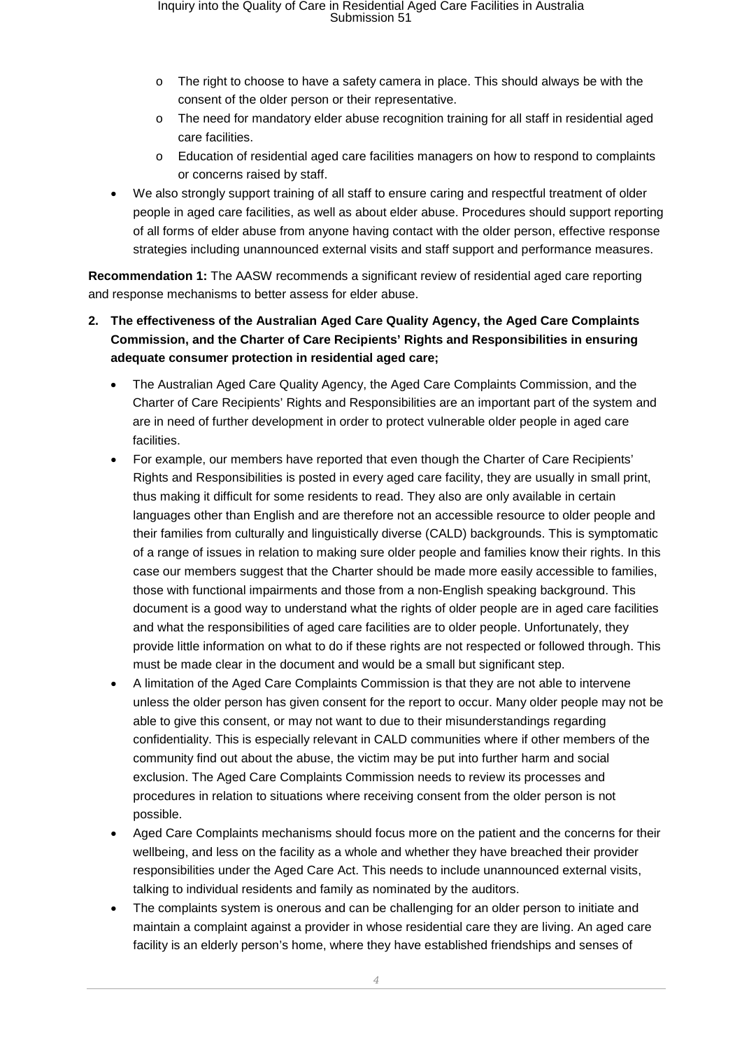- o The right to choose to have a safety camera in place. This should always be with the consent of the older person or their representative.
- o The need for mandatory elder abuse recognition training for all staff in residential aged care facilities.
- o Education of residential aged care facilities managers on how to respond to complaints or concerns raised by staff.
- We also strongly support training of all staff to ensure caring and respectful treatment of older people in aged care facilities, as well as about elder abuse. Procedures should support reporting of all forms of elder abuse from anyone having contact with the older person, effective response strategies including unannounced external visits and staff support and performance measures.

**Recommendation 1:** The AASW recommends a significant review of residential aged care reporting and response mechanisms to better assess for elder abuse.

#### **2. The effectiveness of the Australian Aged Care Quality Agency, the Aged Care Complaints Commission, and the Charter of Care Recipients' Rights and Responsibilities in ensuring adequate consumer protection in residential aged care;**

- The Australian Aged Care Quality Agency, the Aged Care Complaints Commission, and the Charter of Care Recipients' Rights and Responsibilities are an important part of the system and are in need of further development in order to protect vulnerable older people in aged care facilities.
- For example, our members have reported that even though the Charter of Care Recipients' Rights and Responsibilities is posted in every aged care facility, they are usually in small print, thus making it difficult for some residents to read. They also are only available in certain languages other than English and are therefore not an accessible resource to older people and their families from culturally and linguistically diverse (CALD) backgrounds. This is symptomatic of a range of issues in relation to making sure older people and families know their rights. In this case our members suggest that the Charter should be made more easily accessible to families, those with functional impairments and those from a non-English speaking background. This document is a good way to understand what the rights of older people are in aged care facilities and what the responsibilities of aged care facilities are to older people. Unfortunately, they provide little information on what to do if these rights are not respected or followed through. This must be made clear in the document and would be a small but significant step.
- A limitation of the Aged Care Complaints Commission is that they are not able to intervene unless the older person has given consent for the report to occur. Many older people may not be able to give this consent, or may not want to due to their misunderstandings regarding confidentiality. This is especially relevant in CALD communities where if other members of the community find out about the abuse, the victim may be put into further harm and social exclusion. The Aged Care Complaints Commission needs to review its processes and procedures in relation to situations where receiving consent from the older person is not possible.
- Aged Care Complaints mechanisms should focus more on the patient and the concerns for their wellbeing, and less on the facility as a whole and whether they have breached their provider responsibilities under the Aged Care Act. This needs to include unannounced external visits, talking to individual residents and family as nominated by the auditors.
- The complaints system is onerous and can be challenging for an older person to initiate and maintain a complaint against a provider in whose residential care they are living. An aged care facility is an elderly person's home, where they have established friendships and senses of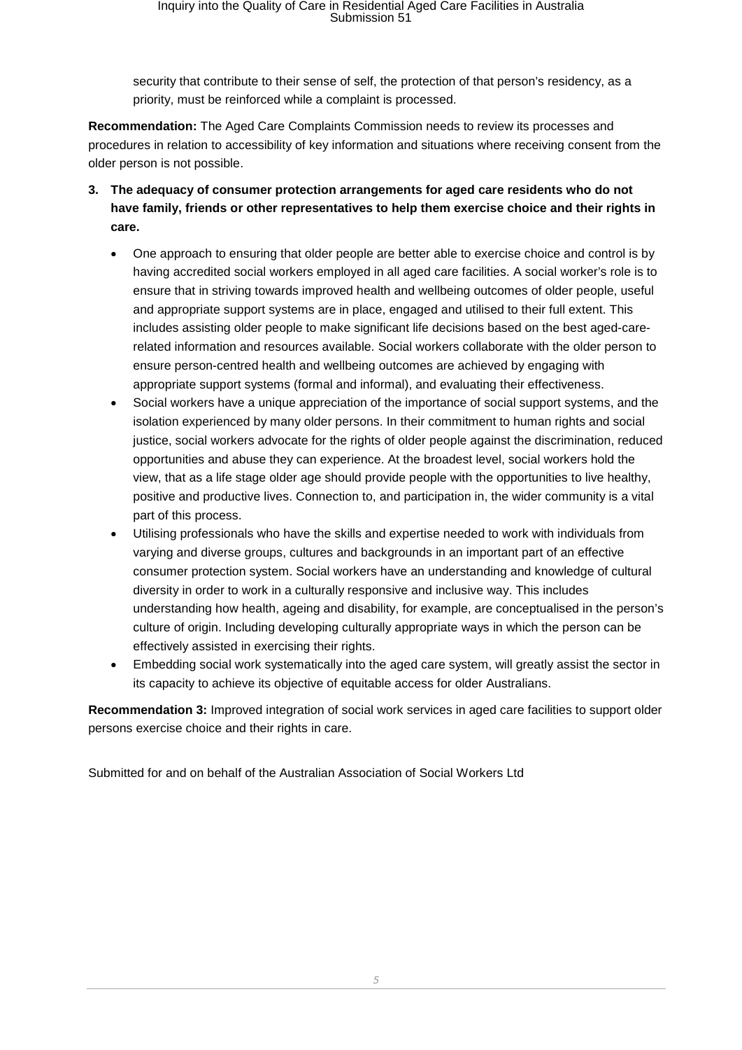security that contribute to their sense of self, the protection of that person's residency, as a priority, must be reinforced while a complaint is processed.

**Recommendation:** The Aged Care Complaints Commission needs to review its processes and procedures in relation to accessibility of key information and situations where receiving consent from the older person is not possible.

- **3. The adequacy of consumer protection arrangements for aged care residents who do not have family, friends or other representatives to help them exercise choice and their rights in care.**
	- One approach to ensuring that older people are better able to exercise choice and control is by having accredited social workers employed in all aged care facilities. A social worker's role is to ensure that in striving towards improved health and wellbeing outcomes of older people, useful and appropriate support systems are in place, engaged and utilised to their full extent. This includes assisting older people to make significant life decisions based on the best aged-carerelated information and resources available. Social workers collaborate with the older person to ensure person-centred health and wellbeing outcomes are achieved by engaging with appropriate support systems (formal and informal), and evaluating their effectiveness.
	- Social workers have a unique appreciation of the importance of social support systems, and the isolation experienced by many older persons. In their commitment to human rights and social justice, social workers advocate for the rights of older people against the discrimination, reduced opportunities and abuse they can experience. At the broadest level, social workers hold the view, that as a life stage older age should provide people with the opportunities to live healthy, positive and productive lives. Connection to, and participation in, the wider community is a vital part of this process.
	- Utilising professionals who have the skills and expertise needed to work with individuals from varying and diverse groups, cultures and backgrounds in an important part of an effective consumer protection system. Social workers have an understanding and knowledge of cultural diversity in order to work in a culturally responsive and inclusive way. This includes understanding how health, ageing and disability, for example, are conceptualised in the person's culture of origin. Including developing culturally appropriate ways in which the person can be effectively assisted in exercising their rights.
	- Embedding social work systematically into the aged care system, will greatly assist the sector in its capacity to achieve its objective of equitable access for older Australians.

**Recommendation 3:** Improved integration of social work services in aged care facilities to support older persons exercise choice and their rights in care.

Submitted for and on behalf of the Australian Association of Social Workers Ltd